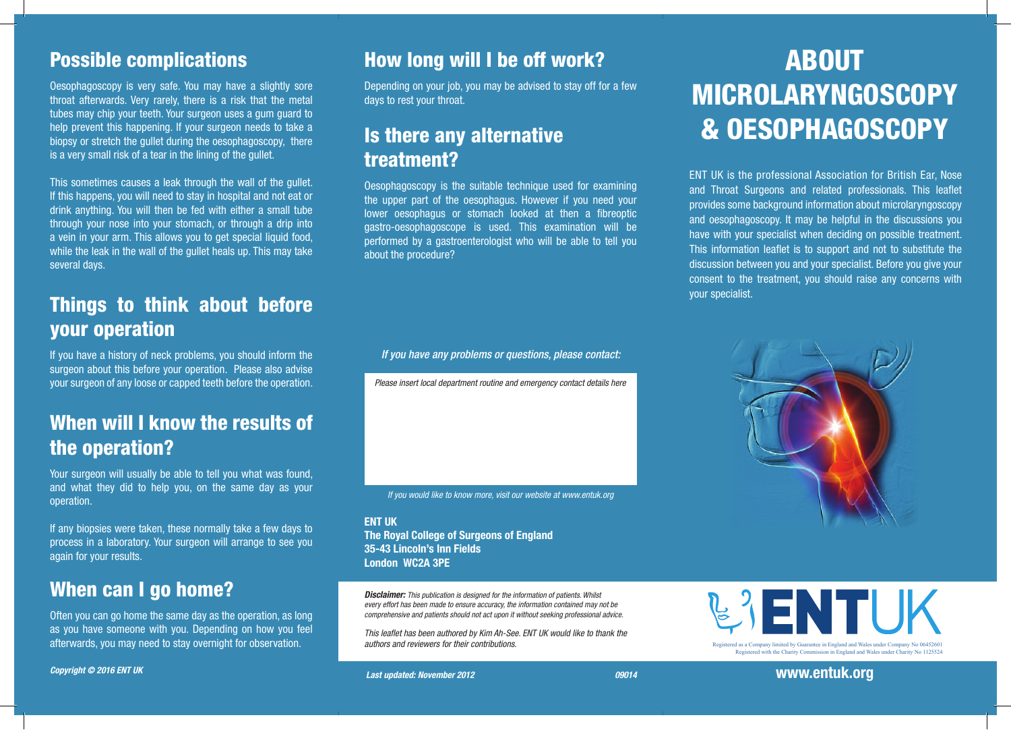#### Possible complications

Oesophagoscopy is very safe. You may have a slightly sore throat afterwards. Very rarely, there is a risk that the metal tubes may chip your teeth. Your surgeon uses a gum guard to help prevent this happening. If your surgeon needs to take a biopsy or stretch the gullet during the oesophagoscopy, there is a very small risk of a tear in the lining of the gullet.

This sometimes causes a leak through the wall of the gullet. If this happens, you will need to stay in hospital and not eat or drink anything. You will then be fed with either a small tube through your nose into your stomach, or through a drip into a vein in your arm. This allows you to get special liquid food, while the leak in the wall of the gullet heals up. This may take several days.

#### Things to think about before your operation

If you have a history of neck problems, you should inform the surgeon about this before your operation. Please also advise your surgeon of any loose or capped teeth before the operation.

## When will I know the results of the operation?

Your surgeon will usually be able to tell you what was found, and what they did to help you, on the same day as your operation.

If any biopsies were taken, these normally take a few days to process in a laboratory. Your surgeon will arrange to see you again for your results.

#### When can I go home?

Often you can go home the same day as the operation, as long as you have someone with you. Depending on how you feel afterwards, you may need to stay overnight for observation.

*Copyright © 2016 ENT UK* 

#### How long will I be off work?

Depending on your job, you may be advised to stay off for a few days to rest your throat.

#### Is there any alternative treatment?

Oesophagoscopy is the suitable technique used for examining the upper part of the oesophagus. However if you need your lower oesophagus or stomach looked at then a fibreoptic gastro-oesophagoscope is used. This examination will be performed by a gastroenterologist who will be able to tell you about the procedure?

*If you have any problems or questions, please contact:*

*Please insert local department routine and emergency contact details here*

*If you would like to know more, visit our website at www.entuk.org*

ENT UK The Royal College of Surgeons of England 35-43 Lincoln's Inn Fields London WC2A 3PE

*Disclaimer: This publication is designed for the information of patients. Whilst every effort has been made to ensure accuracy, the information contained may not be comprehensive and patients should not act upon it without seeking professional advice.*

*This leaflet has been authored by Kim Ah-See. ENT UK would like to thank the authors and reviewers for their contributions.* 

# ABOUT MICROLARYNGOSCOPY & OESOPHAGOSCOPY

ENT UK is the professional Association for British Ear, Nose and Throat Surgeons and related professionals. This leaflet provides some background information about microlaryngoscopy and oesophagoscopy. It may be helpful in the discussions you have with your specialist when deciding on possible treatment. This information leaflet is to support and not to substitute the discussion between you and your specialist. Before you give your consent to the treatment, you should raise any concerns with your specialist.





Registered with the Charity Commission in England and Wales under Charity No 1125524

Registered as a Company limited by Guarantee in England and Wales under Company No 06452601

www.entuk.org with the Charity Commission in England and Wales under Charity No 1